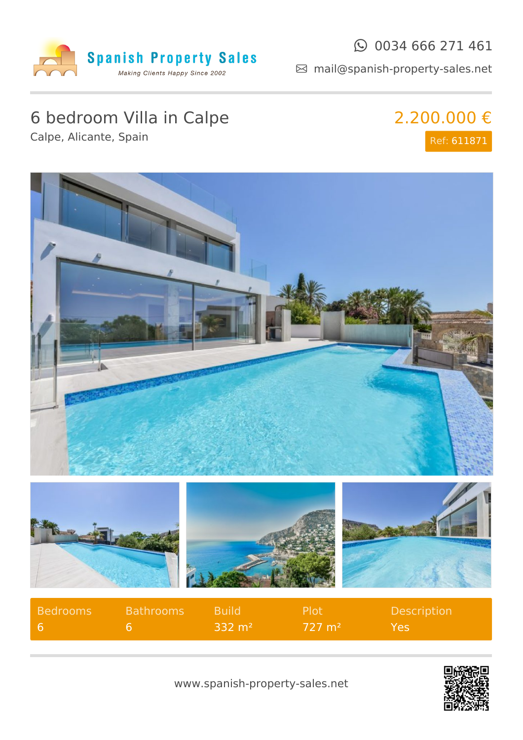

#### $\odot$  0034 666 271 461

mail@spanish-property-sales.net

# 6 bedroom Villa in Calpe

Calpe, Alicante, Spain

#### 2.200.000 € Ref: 611871



| Bedrooms | Bathrooms | <b>Build</b>              | . Plot'           | <b>Description</b> |
|----------|-----------|---------------------------|-------------------|--------------------|
|          |           | $\pm 332$ m <sup>2+</sup> | $727 \text{ m}^2$ | Yes.               |

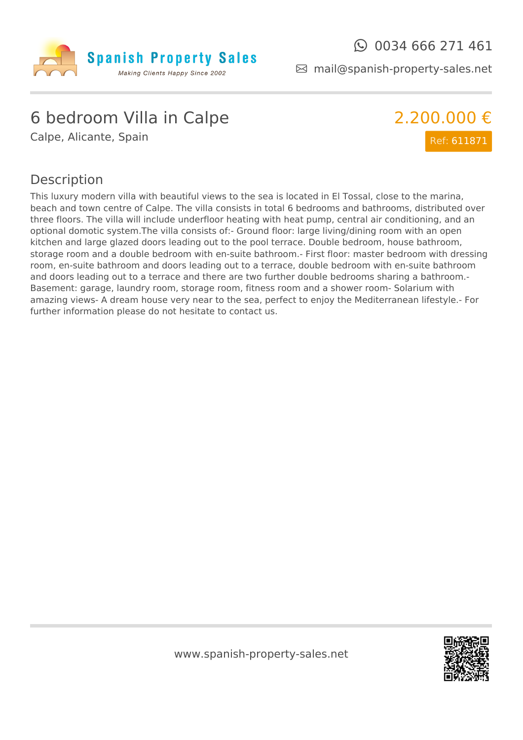

mail@spanish-property-sales.net

### 6 bedroom Villa in Calpe

Calpe, Alicante, Spain



#### Description

This luxury modern villa with beautiful views to the sea is located in El Tossal, close to the marina, beach and town centre of Calpe. The villa consists in total 6 bedrooms and bathrooms, distributed over three floors. The villa will include underfloor heating with heat pump, central air conditioning, and an optional domotic system.The villa consists of:- Ground floor: large living/dining room with an open kitchen and large glazed doors leading out to the pool terrace. Double bedroom, house bathroom, storage room and a double bedroom with en-suite bathroom.- First floor: master bedroom with dressing room, en-suite bathroom and doors leading out to a terrace, double bedroom with en-suite bathroom and doors leading out to a terrace and there are two further double bedrooms sharing a bathroom.- Basement: garage, laundry room, storage room, fitness room and a shower room- Solarium with amazing views- A dream house very near to the sea, perfect to enjoy the Mediterranean lifestyle.- For further information please do not hesitate to contact us.